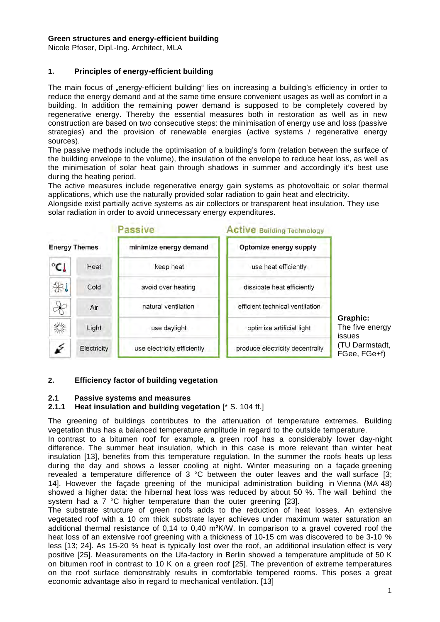#### **Green structures and energy-efficient building**

Nicole Pfoser, Dipl.-Ing. Architect, MLA

## **1. Principles of energy-efficient building**

The main focus of "energy-efficient building" lies on increasing a building's efficiency in order to reduce the energy demand and at the same time ensure convenient usages as well as comfort in a building. In addition the remaining power demand is supposed to be completely covered by regenerative energy. Thereby the essential measures both in restoration as well as in new construction are based on two consecutive steps: the minimisation of energy use and loss (passive strategies) and the provision of renewable energies (active systems / regenerative energy sources).

The passive methods include the optimisation of a building's form (relation between the surface of the building envelope to the volume), the insulation of the envelope to reduce heat loss, as well as the minimisation of solar heat gain through shadows in summer and accordingly it's best use during the heating period.

The active measures include regenerative energy gain systems as photovoltaic or solar thermal applications, which use the naturally provided solar radiation to gain heat and electricity.

Alongside exist partially active systems as air collectors or transparent heat insulation. They use solar radiation in order to avoid unnecessary energy expenditures.



## **2. Efficiency factor of building vegetation**

#### **2.1 Passive systems and measures**

## **2.1.1 Heat insulation and building vegetation** [\* S. 104 ff.]

The greening of buildings contributes to the attenuation of temperature extremes. Building vegetation thus has a balanced temperature amplitude in regard to the outside temperature.

In contrast to a bitumen roof for example, a green roof has a considerably lower day-night difference. The summer heat insulation, which in this case is more relevant than winter heat insulation [13], benefits from this temperature regulation. In the summer the roofs heats up less during the day and shows a lesser cooling at night. Winter measuring on a façade greening revealed a temperature difference of 3 °C between the outer leaves and the wall surface [3; 14]. However the façade greening of the municipal administration building in Vienna (MA 48) showed a higher data: the hibernal heat loss was reduced by about 50 %. The wall behind the system had a 7 °C higher temperature than the outer greening [23].

The substrate structure of green roofs adds to the reduction of heat losses. An extensive vegetated roof with a 10 cm thick substrate layer achieves under maximum water saturation an additional thermal resistance of 0,14 to 0,40 m²K/W. In comparison to a gravel covered roof the heat loss of an extensive roof greening with a thickness of 10-15 cm was discovered to be 3-10 % less [13; 24]. As 15-20 % heat is typically lost over the roof, an additional insulation effect is very positive [25]. Measurements on the Ufa-factory in Berlin showed a temperature amplitude of 50 K on bitumen roof in contrast to 10 K on a green roof [25]. The prevention of extreme temperatures on the roof surface demonstrably results in comfortable tempered rooms. This poses a great economic advantage also in regard to mechanical ventilation. [13]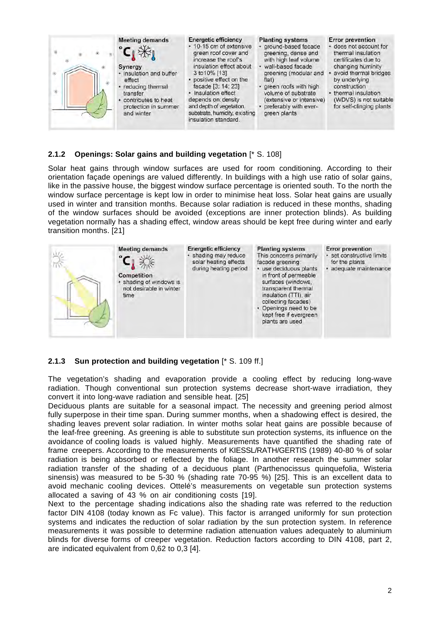

#### **2.1.2 Openings: Solar gains and building vegetation** [\* S. 108]

Solar heat gains through window surfaces are used for room conditioning. According to their orientation façade openings are valued differently. In buildings with a high use ratio of solar gains, like in the passive house, the biggest window surface percentage is oriented south. To the north the window surface percentage is kept low in order to minimise heat loss. Solar heat gains are usually used in winter and transition months. Because solar radiation is reduced in these months, shading of the window surfaces should be avoided (exceptions are inner protection blinds). As building vegetation normally has a shading effect, window areas should be kept free during winter and early transition months. [21]



#### **2.1.3 Sun protection and building vegetation** [\* S. 109 ff.]

The vegetation's shading and evaporation provide a cooling effect by reducing long-wave radiation. Though conventional sun protection systems decrease short-wave irradiation, they convert it into long-wave radiation and sensible heat. [25]

Deciduous plants are suitable for a seasonal impact. The necessity and greening period almost fully superpose in their time span. During summer months, when a shadowing effect is desired, the shading leaves prevent solar radiation. In winter moths solar heat gains are possible because of the leaf-free greening. As greening is able to substitute sun protection systems, its influence on the avoidance of cooling loads is valued highly. Measurements have quantified the shading rate of frame creepers. According to the measurements of KIESSL/RATH/GERTIS (1989) 40-80 % of solar radiation is being absorbed or reflected by the foliage. In another research the summer solar radiation transfer of the shading of a deciduous plant (Parthenocissus quinquefolia, Wisteria sinensis) was measured to be 5-30 % (shading rate 70-95 %) [25]. This is an excellent data to avoid mechanic cooling devices. Ottelé's measurements on vegetable sun protection systems allocated a saving of 43 % on air conditioning costs [19].

Next to the percentage shading indications also the shading rate was referred to the reduction factor DIN 4108 (today known as Fc value). This factor is arranged uniformly for sun protection systems and indicates the reduction of solar radiation by the sun protection system. In reference measurements it was possible to determine radiation attenuation values adequately to aluminium blinds for diverse forms of creeper vegetation. Reduction factors according to DIN 4108, part 2, are indicated equivalent from 0,62 to 0,3 [4].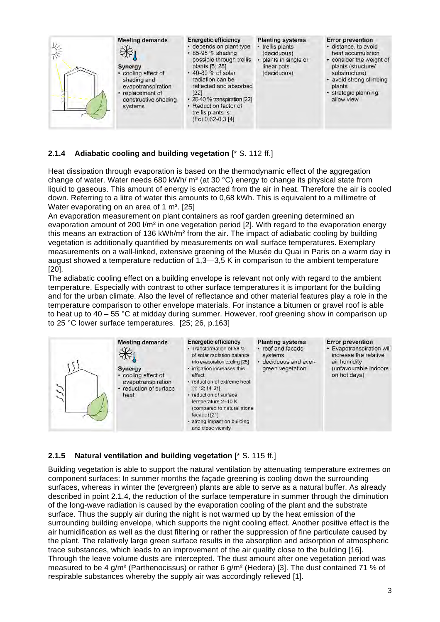

# **2.1.4 Adiabatic cooling and building vegetation** [\* S. 112 ff.]

Heat dissipation through evaporation is based on the thermodynamic effect of the aggregation change of water. Water needs 680 kWh/  $m<sup>3</sup>$  (at 30 °C) energy to change its physical state from liquid to gaseous. This amount of energy is extracted from the air in heat. Therefore the air is cooled down. Referring to a litre of water this amounts to 0,68 kWh. This is equivalent to a millimetre of Water evaporating on an area of 1 m<sup>2</sup>. [25]

An evaporation measurement on plant containers as roof garden greening determined an evaporation amount of 200  $/m<sup>2</sup>$  in one vegetation period [2]. With regard to the evaporation energy this means an extraction of 136 kWh/ $m<sup>2</sup>$  from the air. The impact of adiabatic cooling by building vegetation is additionally quantified by measurements on wall surface temperatures. Exemplary measurements on a wall-linked, extensive greening of the Musée du Quai in Paris on a warm day in august showed a temperature reduction of 1,3—3,5 K in comparison to the ambient temperature [20].

The adiabatic cooling effect on a building envelope is relevant not only with regard to the ambient temperature. Especially with contrast to other surface temperatures it is important for the building and for the urban climate. Also the level of reflectance and other material features play a role in the temperature comparison to other envelope materials. For instance a bitumen or gravel roof is able to heat up to 40 – 55 °C at midday during summer. However, roof greening show in comparison up to 25 °C lower surface temperatures. [25; 26, p.163]



## **2.1.5 Natural ventilation and building vegetation** [\* S. 115 ff.]

Building vegetation is able to support the natural ventilation by attenuating temperature extremes on component surfaces: In summer months the façade greening is cooling down the surrounding surfaces, whereas in winter the (evergreen) plants are able to serve as a natural buffer. As already described in point 2.1.4, the reduction of the surface temperature in summer through the diminution of the long-wave radiation is caused by the evaporation cooling of the plant and the substrate surface. Thus the supply air during the night is not warmed up by the heat emission of the surrounding building envelope, which supports the night cooling effect. Another positive effect is the air humidification as well as the dust filtering or rather the suppression of fine particulate caused by the plant. The relatively large green surface results in the absorption and adsorption of atmospheric trace substances, which leads to an improvement of the air quality close to the building [16]. Through the leave volume dusts are intercepted. The dust amount after one vegetation period was measured to be 4 g/m² (Parthenocissus) or rather 6 g/m² (Hedera) [3]. The dust contained 71 % of respirable substances whereby the supply air was accordingly relieved [1].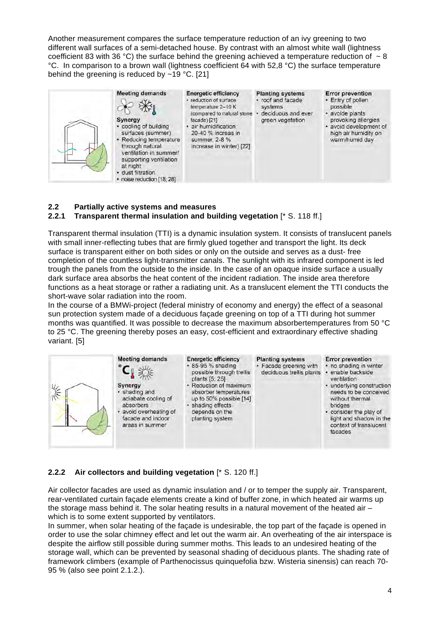Another measurement compares the surface temperature reduction of an ivy greening to two different wall surfaces of a semi-detached house. By contrast with an almost white wall (lightness coefficient 83 with 36 °C) the surface behind the greening achieved a temperature reduction of  $\sim$  8 °C. In comparison to a brown wall (lightness coefficient 64 with 52,8 °C) the surface temperature behind the greening is reduced by  $\sim$  19 °C. [21]



# **2.2 Partially active systems and measures**

# **2.2.1 Transparent thermal insulation and building vegetation** [\* S. 118 ff.]

Transparent thermal insulation (TTI) is a dynamic insulation system. It consists of translucent panels with small inner-reflecting tubes that are firmly glued together and transport the light. Its deck surface is transparent either on both sides or only on the outside and serves as a dust- free completion of the countless light-transmitter canals. The sunlight with its infrared component is led trough the panels from the outside to the inside. In the case of an opaque inside surface a usually dark surface area absorbs the heat content of the incident radiation. The inside area therefore functions as a heat storage or rather a radiating unit. As a translucent element the TTI conducts the short-wave solar radiation into the room.

In the course of a BMWi-project (federal ministry of economy and energy) the effect of a seasonal sun protection system made of a deciduous façade greening on top of a TTI during hot summer months was quantified. It was possible to decrease the maximum absorbertemperatures from 50 °C to 25 °C. The greening thereby poses an easy, cost-efficient and extraordinary effective shading variant. [5]



## **2.2.2 Air collectors and building vegetation** [\* S. 120 ff.]

Air collector facades are used as dynamic insulation and / or to temper the supply air. Transparent, rear-ventilated curtain façade elements create a kind of buffer zone, in which heated air warms up the storage mass behind it. The solar heating results in a natural movement of the heated air – which is to some extent supported by ventilators.

In summer, when solar heating of the façade is undesirable, the top part of the façade is opened in order to use the solar chimney effect and let out the warm air. An overheating of the air interspace is despite the airflow still possible during summer moths. This leads to an undesired heating of the storage wall, which can be prevented by seasonal shading of deciduous plants. The shading rate of framework climbers (example of Parthenocissus quinquefolia bzw. Wisteria sinensis) can reach 70- 95 % (also see point 2.1.2.).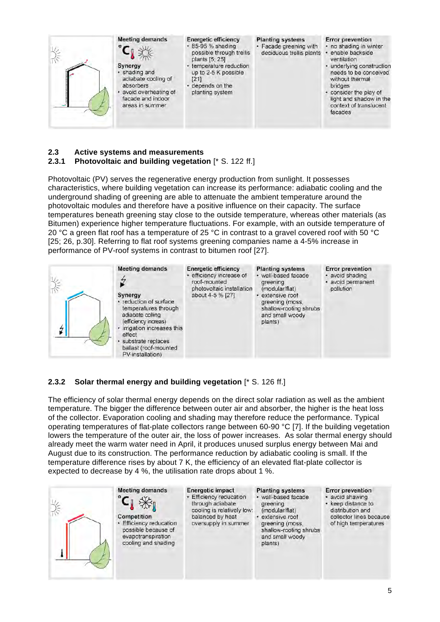

# **2.3 Active systems and measurements**

## **2.3.1 Photovoltaic and building vegetation** [\* S. 122 ff.]

Photovoltaic (PV) serves the regenerative energy production from sunlight. It possesses characteristics, where building vegetation can increase its performance: adiabatic cooling and the underground shading of greening are able to attenuate the ambient temperature around the photovoltaic modules and therefore have a positive influence on their capacity. The surface temperatures beneath greening stay close to the outside temperature, whereas other materials (as Bitumen) experience higher temperature fluctuations. For example, with an outside temperature of 20 °C a green flat roof has a temperature of 25 °C in contrast to a gravel covered roof with 50 °C [25; 26, p.30]. Referring to flat roof systems greening companies name a 4-5% increase in performance of PV-roof systems in contrast to bitumen roof [27].



# **2.3.2 Solar thermal energy and building vegetation** [\* S. 126 ff.]

The efficiency of solar thermal energy depends on the direct solar radiation as well as the ambient temperature. The bigger the difference between outer air and absorber, the higher is the heat loss of the collector. Evaporation cooling and shading may therefore reduce the performance. Typical operating temperatures of flat-plate collectors range between 60-90 °C [7]. If the building vegetation lowers the temperature of the outer air, the loss of power increases. As solar thermal energy should already meet the warm water need in April, it produces unused surplus energy between Mai and August due to its construction. The performance reduction by adiabatic cooling is small. If the temperature difference rises by about 7 K, the efficiency of an elevated flat-plate collector is expected to decrease by 4 %, the utilisation rate drops about 1 %.

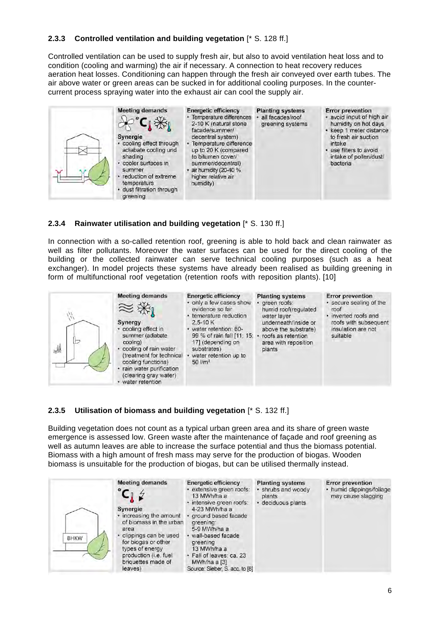## **2.3.3 Controlled ventilation and building vegetation** [\* S. 128 ff.]

Controlled ventilation can be used to supply fresh air, but also to avoid ventilation heat loss and to condition (cooling and warming) the air if necessary. A connection to heat recovery reduces aeration heat losses. Conditioning can happen through the fresh air conveyed over earth tubes. The air above water or green areas can be sucked in for additional cooling purposes. In the countercurrent process spraying water into the exhaust air can cool the supply air.



#### **2.3.4 Rainwater utilisation and building vegetation** [\* S. 130 ff.]

In connection with a so-called retention roof, greening is able to hold back and clean rainwater as well as filter pollutants. Moreover the water surfaces can be used for the direct cooling of the building or the collected rainwater can serve technical cooling purposes (such as a heat exchanger). In model projects these systems have already been realised as building greening in form of multifunctional roof vegetation (retention roofs with reposition plants). [10]



#### **2.3.5 Utilisation of biomass and building vegetation** [\* S. 132 ff.]

Building vegetation does not count as a typical urban green area and its share of green waste emergence is assessed low. Green waste after the maintenance of façade and roof greening as well as autumn leaves are able to increase the surface potential and thus the biomass potential. Biomass with a high amount of fresh mass may serve for the production of biogas. Wooden biomass is unsuitable for the production of biogas, but can be utilised thermally instead.

| <b>Meeting demands</b><br>Synergie<br>• increasing the amount<br>of biomass in the urban<br>area<br>clippings can be used<br><b>BHKW</b><br>for biogas or other<br>types of energy<br>production (i.e. fuel<br>briquettes made of<br>leaves) | <b>Energetic efficiency</b><br>· extensive green roofs:<br>13 MWh/ha a<br>· intensive green roofs:<br>4-23 MWh/ha a<br>ground based facade<br>greening:<br>5-9 MWh/ha a<br>· wall-based facade<br>greening<br>13 MWh/ha a<br>· Fall of leaves: ca. 23<br>MWh/ha a [3]<br>Source: Sieber, S. acc. to [8] | <b>Planting systems</b><br>shrubs and woody<br>plants<br>deciduous plants | <b>Error prevention</b><br>• humid clippings/foliage<br>may cause slagging |
|----------------------------------------------------------------------------------------------------------------------------------------------------------------------------------------------------------------------------------------------|---------------------------------------------------------------------------------------------------------------------------------------------------------------------------------------------------------------------------------------------------------------------------------------------------------|---------------------------------------------------------------------------|----------------------------------------------------------------------------|
|----------------------------------------------------------------------------------------------------------------------------------------------------------------------------------------------------------------------------------------------|---------------------------------------------------------------------------------------------------------------------------------------------------------------------------------------------------------------------------------------------------------------------------------------------------------|---------------------------------------------------------------------------|----------------------------------------------------------------------------|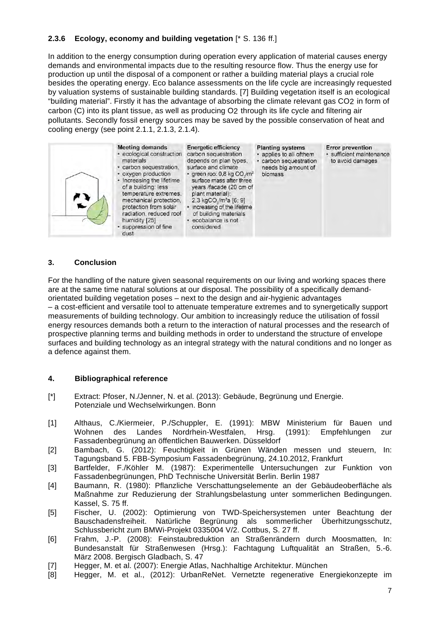# **2.3.6 Ecology, economy and building vegetation** [\* S. 136 ff.]

In addition to the energy consumption during operation every application of material causes energy demands and environmental impacts due to the resulting resource flow. Thus the energy use for production up until the disposal of a component or rather a building material plays a crucial role besides the operating energy. Eco balance assessments on the life cycle are increasingly requested by valuation systems of sustainable building standards. [7] Building vegetation itself is an ecological "building material". Firstly it has the advantage of absorbing the climate relevant gas CO2 in form of carbon (C) into its plant tissue, as well as producing O2 through its life cycle and filtering air pollutants. Secondly fossil energy sources may be saved by the possible conservation of heat and cooling energy (see point 2.1.1, 2.1.3, 2.1.4).



#### **3. Conclusion**

For the handling of the nature given seasonal requirements on our living and working spaces there are at the same time natural solutions at our disposal. The possibility of a specifically demandorientated building vegetation poses – next to the design and air-hygienic advantages – a cost-efficient and versatile tool to attenuate temperature extremes and to synergetically support measurements of building technology. Our ambition to increasingly reduce the utilisation of fossil energy resources demands both a return to the interaction of natural processes and the research of prospective planning terms and building methods in order to understand the structure of envelope surfaces and building technology as an integral strategy with the natural conditions and no longer as a defence against them.

## **4. Bibliographical reference**

- [\*] Extract: Pfoser, N./Jenner, N. et al. (2013): Gebäude, Begrünung und Energie. Potenziale und Wechselwirkungen. Bonn
- [1] Althaus, C./Kiermeier, P./Schuppler, E. (1991): MBW Ministerium für Bauen und Wohnen des Landes Nordrhein-Westfalen, Hrsg. (1991): Empfehlungen zur Fassadenbegrünung an öffentlichen Bauwerken. Düsseldorf
- [2] Bambach, G. (2012): Feuchtigkeit in Grünen Wänden messen und steuern, In: Tagungsband 5. FBB-Symposium Fassadenbegrünung, 24.10.2012, Frankfurt
- [3] Bartfelder, F./Köhler M. (1987): Experimentelle Untersuchungen zur Funktion von Fassadenbegrünungen, PhD Technische Universität Berlin. Berlin 1987
- [4] Baumann, R. (1980): Pflanzliche Verschattungselemente an der Gebäudeoberfläche als Maßnahme zur Reduzierung der Strahlungsbelastung unter sommerlichen Bedingungen. Kassel, S. 75 ff.
- [5] Fischer, U. (2002): Optimierung von TWD-Speichersystemen unter Beachtung der Bauschadensfreiheit. Natürliche Begrünung als sommerlicher Überhitzungsschutz, Schlussbericht zum BMWi-Projekt 0335004 V/2. Cottbus, S. 27 ff.
- [6] Frahm, J.-P. (2008): Feinstaubreduktion an Straßenrändern durch Moosmatten, In: Bundesanstalt für Straßenwesen (Hrsg.): Fachtagung Luftqualität an Straßen, 5.-6. März 2008. Bergisch Gladbach, S. 47
- [7] Hegger, M. et al. (2007): Energie Atlas, Nachhaltige Architektur. München
- [8] Hegger, M. et al., (2012): UrbanReNet. Vernetzte regenerative Energiekonzepte im